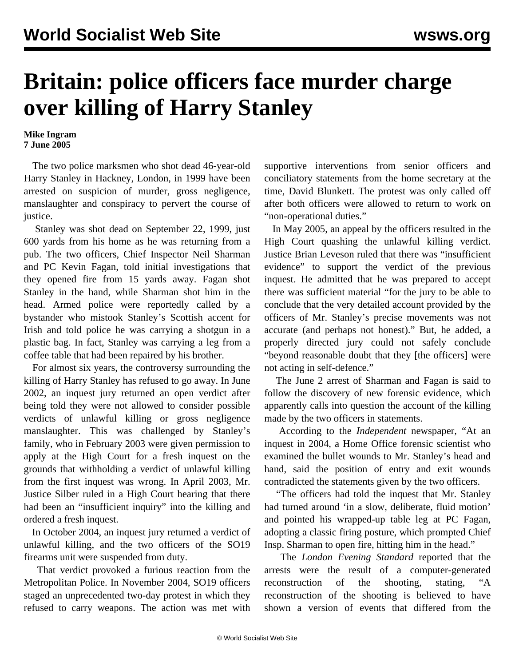## **Britain: police officers face murder charge over killing of Harry Stanley**

## **Mike Ingram 7 June 2005**

 The two police marksmen who shot dead 46-year-old Harry Stanley in Hackney, London, in 1999 have been arrested on suspicion of murder, gross negligence, manslaughter and conspiracy to pervert the course of justice.

 Stanley was shot dead on September 22, 1999, just 600 yards from his home as he was returning from a pub. The two officers, Chief Inspector Neil Sharman and PC Kevin Fagan, told initial investigations that they opened fire from 15 yards away. Fagan shot Stanley in the hand, while Sharman shot him in the head. Armed police were reportedly called by a bystander who mistook Stanley's Scottish accent for Irish and told police he was carrying a shotgun in a plastic bag. In fact, Stanley was carrying a leg from a coffee table that had been repaired by his brother.

 For almost six years, the controversy surrounding the killing of Harry Stanley has refused to go away. In June 2002, an inquest jury returned an open verdict after being told they were not allowed to consider possible verdicts of unlawful killing or gross negligence manslaughter. This was challenged by Stanley's family, who in February 2003 were given permission to apply at the High Court for a fresh inquest on the grounds that withholding a verdict of unlawful killing from the first inquest was wrong. In April 2003, Mr. Justice Silber ruled in a High Court hearing that there had been an "insufficient inquiry" into the killing and ordered a fresh inquest.

 In October 2004, an inquest jury returned a verdict of unlawful killing, and the two officers of the SO19 firearms unit were suspended from duty.

 That verdict provoked a furious reaction from the Metropolitan Police. In November 2004, SO19 officers staged an unprecedented two-day protest in which they refused to carry weapons. The action was met with

supportive interventions from senior officers and conciliatory statements from the home secretary at the time, David Blunkett. The protest was only called off after both officers were allowed to return to work on "non-operational duties."

 In May 2005, an appeal by the officers resulted in the High Court quashing the unlawful killing verdict. Justice Brian Leveson ruled that there was "insufficient evidence" to support the verdict of the previous inquest. He admitted that he was prepared to accept there was sufficient material "for the jury to be able to conclude that the very detailed account provided by the officers of Mr. Stanley's precise movements was not accurate (and perhaps not honest)." But, he added, a properly directed jury could not safely conclude "beyond reasonable doubt that they [the officers] were not acting in self-defence."

 The June 2 arrest of Sharman and Fagan is said to follow the discovery of new forensic evidence, which apparently calls into question the account of the killing made by the two officers in statements.

 According to the *Independent* newspaper, "At an inquest in 2004, a Home Office forensic scientist who examined the bullet wounds to Mr. Stanley's head and hand, said the position of entry and exit wounds contradicted the statements given by the two officers.

 "The officers had told the inquest that Mr. Stanley had turned around 'in a slow, deliberate, fluid motion' and pointed his wrapped-up table leg at PC Fagan, adopting a classic firing posture, which prompted Chief Insp. Sharman to open fire, hitting him in the head."

 The *London Evening Standard* reported that the arrests were the result of a computer-generated reconstruction of the shooting, stating, "A reconstruction of the shooting is believed to have shown a version of events that differed from the